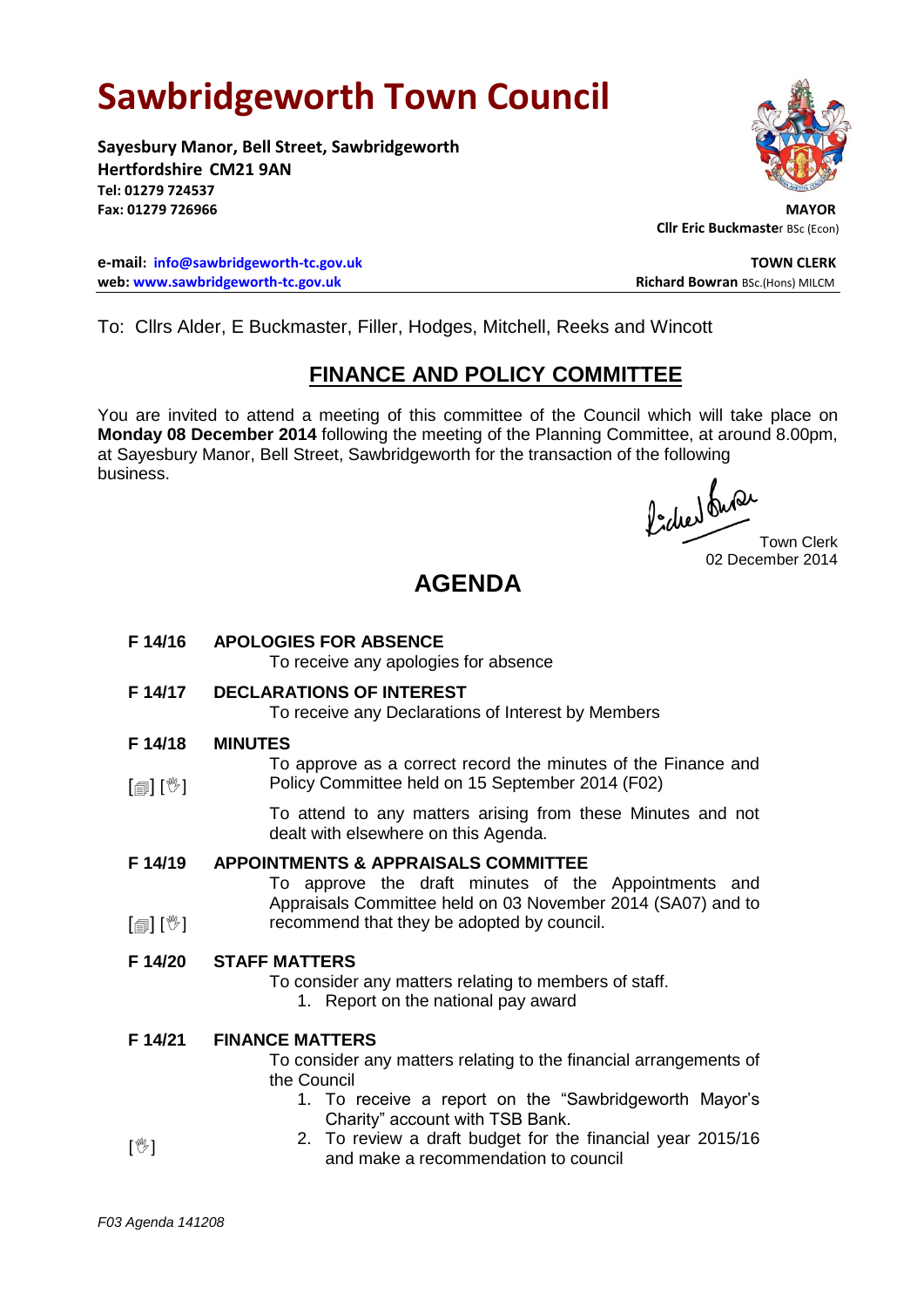# **Sawbridgeworth Town Council**

**Sayesbury Manor, Bell Street, Sawbridgeworth Hertfordshire CM21 9AN Tel: 01279 724537** Fax: 01279 726966

**e-mail: [info@sawbridgeworth-tc.gov.uk](mailto:info@sawbridgeworth-tc.gov.uk) TOWN CLERK web:** www.sawbridgeworth-tc.gov.uk **Richard Bowran** BSc.(Hons) MILCM



**Cllr Eric Buckmaste**r BSc (Econ)

To: Cllrs Alder, E Buckmaster, Filler, Hodges, Mitchell, Reeks and Wincott

## **FINANCE AND POLICY COMMITTEE**

You are invited to attend a meeting of this committee of the Council which will take place on **Monday 08 December 2014** following the meeting of the Planning Committee, at around 8.00pm, at Sayesbury Manor, Bell Street, Sawbridgeworth for the transaction of the following business.

fided twee Town Clerk

02 December 2014

## **AGENDA**

**F 14/16 APOLOGIES FOR ABSENCE** To receive any apologies for absence **F 14/17 DECLARATIONS OF INTEREST**

To receive any Declarations of Interest by Members

#### **F 14/18 MINUTES**

 $\lceil$  [ $\parallel$   $\mathbb{I}$   $\rceil$   $\mid$   $\mathbb{V}$   $\rceil$ To approve as a correct record the minutes of the Finance and Policy Committee held on 15 September 2014 (F02)

> To attend to any matters arising from these Minutes and not dealt with elsewhere on this Agenda.

#### **F 14/19 APPOINTMENTS & APPRAISALS COMMITTEE**

To approve the draft minutes of the Appointments and Appraisals Committee held on 03 November 2014 (SA07) and to recommend that they be adopted by council.

## **F 14/20 STAFF MATTERS**

- To consider any matters relating to members of staff.
	- 1. Report on the national pay award
- **F 14/21 FINANCE MATTERS** To consider any matters relating to the financial arrangements of the Council
	- 1. To receive a report on the "Sawbridgeworth Mayor's Charity" account with TSB Bank.
- $\mathbb{I}^{\mathbb{M}}$ 2. To review a draft budget for the financial year 2015/16 and make a recommendation to council

 $\lceil \frac{m}{2} \rceil$   $\lceil \frac{m}{2} \rceil$